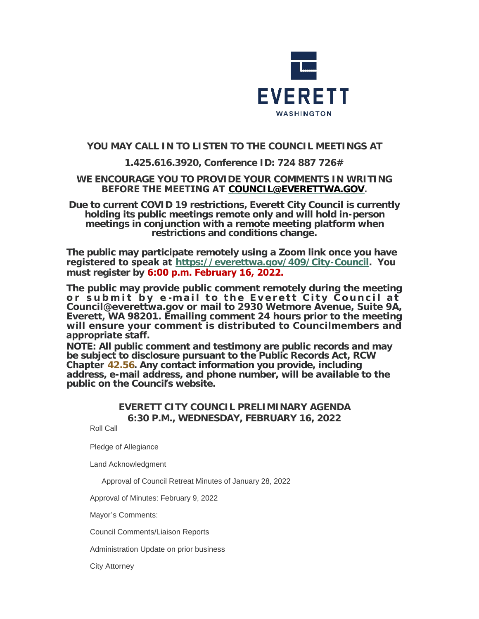

# **YOU MAY CALL IN TO LISTEN TO THE COUNCIL MEETINGS AT**

# **1.425.616.3920, Conference ID: 724 887 726#**

### **WE ENCOURAGE YOU TO PROVIDE YOUR COMMENTS IN WRITING BEFORE THE MEETING AT [COUNCIL@EVERETTWA.GOV](mailto:COUNCIL@EVERETTWA.GOV).**

**Due to current COVID 19 restrictions, Everett City Council is currently holding its public meetings remote only and will hold in-person meetings in conjunction with a remote meeting platform when restrictions and conditions change.**

**The public may participate remotely using a Zoom link once you have registered to speak at <https://everettwa.gov/409/City-Council>. You must register by 6:00 p.m. February 16, 2022.** 

**The public may provide public comment remotely during the meeting or submit by e -mail to the Everett City Council at Council@everettwa.gov or mail to 2930 Wetmore Avenue, Suite 9A, Everett, WA 98201. Emailing comment 24 hours prior to the meeting will ensure your comment is distributed to Councilmembers and appropriate staff.** 

*NOTE: All public comment and testimony are public records and may be subject to disclosure pursuant to the Public Records Act, RCW*  **Chapter** *[42.56](https://apps.leg.wa.gov/rcw/default.aspx?cite=42.56). Any contact information you provide, including address, e-mail address, and phone number, will be available to the public on the Council***'***s website.*

# **EVERETT CITY COUNCIL PRELIMINARY AGENDA 6:30 P.M., WEDNESDAY, FEBRUARY 16, 2022**

Roll Call

Pledge of Allegiance

Land Acknowledgment

Approval of Council Retreat Minutes of January 28, 2022

Approval of Minutes: February 9, 2022

Mayor's Comments:

Council Comments/Liaison Reports

Administration Update on prior business

City Attorney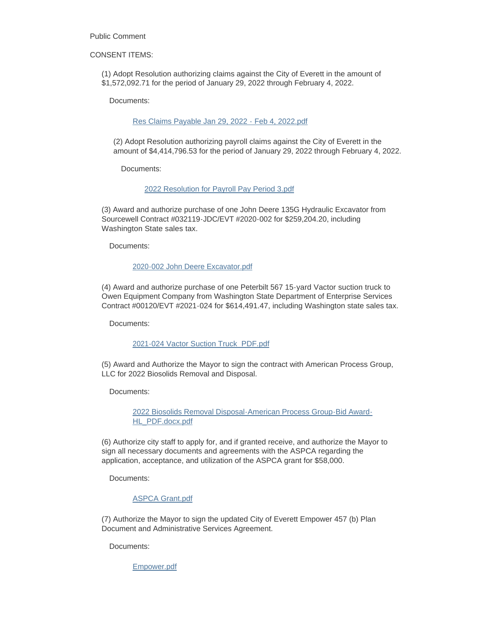Public Comment

CONSENT ITEMS:

(1) Adopt Resolution authorizing claims against the City of Everett in the amount of \$1,572,092.71 for the period of January 29, 2022 through February 4, 2022.

Documents:

[Res Claims Payable Jan 29, 2022 - Feb 4, 2022.pdf](https://www.everettwa.gov/AgendaCenter/ViewFile/Item/13383?fileID=79855)

(2) Adopt Resolution authorizing payroll claims against the City of Everett in the amount of \$4,414,796.53 for the period of January 29, 2022 through February 4, 2022.

Documents:

[2022 Resolution for Payroll Pay Period 3.pdf](https://www.everettwa.gov/AgendaCenter/ViewFile/Item/13384?fileID=79856)

(3) Award and authorize purchase of one John Deere 135G Hydraulic Excavator from Sourcewell Contract #032119-JDC/EVT #2020-002 for \$259,204.20, including Washington State sales tax.

Documents:

#### [2020-002 John Deere Excavator.pdf](https://www.everettwa.gov/AgendaCenter/ViewFile/Item/13386?fileID=79858)

(4) Award and authorize purchase of one Peterbilt 567 15-yard Vactor suction truck to Owen Equipment Company from Washington State Department of Enterprise Services Contract #00120/EVT #2021-024 for \$614,491.47, including Washington state sales tax.

Documents:

#### [2021-024 Vactor Suction Truck\\_PDF.pdf](https://www.everettwa.gov/AgendaCenter/ViewFile/Item/13387?fileID=79859)

(5) Award and Authorize the Mayor to sign the contract with American Process Group, LLC for 2022 Biosolids Removal and Disposal.

Documents:

[2022 Biosolids Removal Disposal-American Process Group-Bid Award-](https://www.everettwa.gov/AgendaCenter/ViewFile/Item/13388?fileID=79860)HL\_PDF.docx.pdf

(6) Authorize city staff to apply for, and if granted receive, and authorize the Mayor to sign all necessary documents and agreements with the ASPCA regarding the application, acceptance, and utilization of the ASPCA grant for \$58,000.

Documents:

### [ASPCA Grant.pdf](https://www.everettwa.gov/AgendaCenter/ViewFile/Item/13389?fileID=79861)

(7) Authorize the Mayor to sign the updated City of Everett Empower 457 (b) Plan Document and Administrative Services Agreement.

Documents:

[Empower.pdf](https://www.everettwa.gov/AgendaCenter/ViewFile/Item/13390?fileID=79862)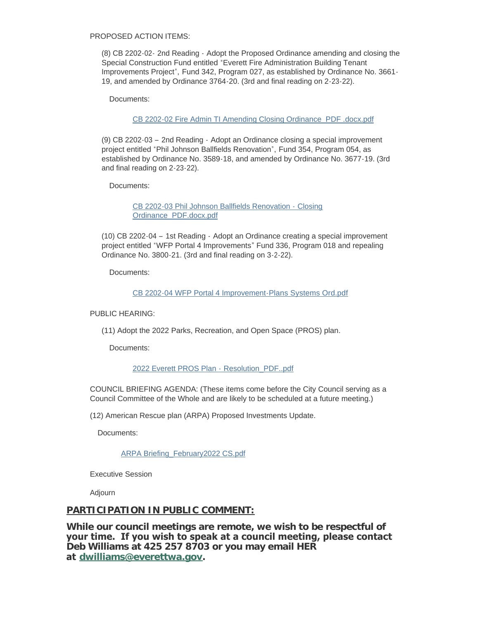PROPOSED ACTION ITEMS:

(8) CB 2202-02- 2nd Reading - Adopt the Proposed Ordinance amending and closing the Special Construction Fund entitled "Everett Fire Administration Building Tenant Improvements Project", Fund 342, Program 027, as established by Ordinance No. 3661- 19, and amended by Ordinance 3764-20. (3rd and final reading on 2-23-22).

Documents:

[CB 2202-02 Fire Admin TI Amending Closing Ordinance\\_PDF .docx.pdf](https://www.everettwa.gov/AgendaCenter/ViewFile/Item/13391?fileID=79863)

(9) CB 2202-03 – 2nd Reading - Adopt an Ordinance closing a special improvement project entitled "Phil Johnson Ballfields Renovation", Fund 354, Program 054, as established by Ordinance No. 3589-18, and amended by Ordinance No. 3677-19. (3rd and final reading on 2-23-22).

Documents:

[CB 2202-03 Phil Johnson Ballfields Renovation -](https://www.everettwa.gov/AgendaCenter/ViewFile/Item/13392?fileID=79864) Closing Ordinance\_PDF.docx.pdf

(10) CB 2202-04 – 1st Reading - Adopt an Ordinance creating a special improvement project entitled "WFP Portal 4 Improvements" Fund 336, Program 018 and repealing Ordinance No. 3800-21. (3rd and final reading on 3-2-22).

Documents:

[CB 2202-04 WFP Portal 4 Improvement-Plans Systems Ord.pdf](https://www.everettwa.gov/AgendaCenter/ViewFile/Item/13393?fileID=79865)

PUBLIC HEARING:

(11) Adopt the 2022 Parks, Recreation, and Open Space (PROS) plan.

Documents:

[2022 Everett PROS Plan -](https://www.everettwa.gov/AgendaCenter/ViewFile/Item/13394?fileID=79866) Resolution\_PDF..pdf

COUNCIL BRIEFING AGENDA: (These items come before the City Council serving as a Council Committee of the Whole and are likely to be scheduled at a future meeting.)

(12) American Rescue plan (ARPA) Proposed Investments Update.

Documents:

[ARPA Briefing\\_February2022 CS.pdf](https://www.everettwa.gov/AgendaCenter/ViewFile/Item/13395?fileID=79867)

Executive Session

Adjourn

### **PARTICIPATION IN PUBLIC COMMENT:**

**While our council meetings are remote, we wish to be respectful of your time. If you wish to speak at a council meeting, please contact Deb Williams at 425 257 8703 or you may email HER at [dwilliams@everettwa.gov](mailto:dwilliams@everettwa.gov).**